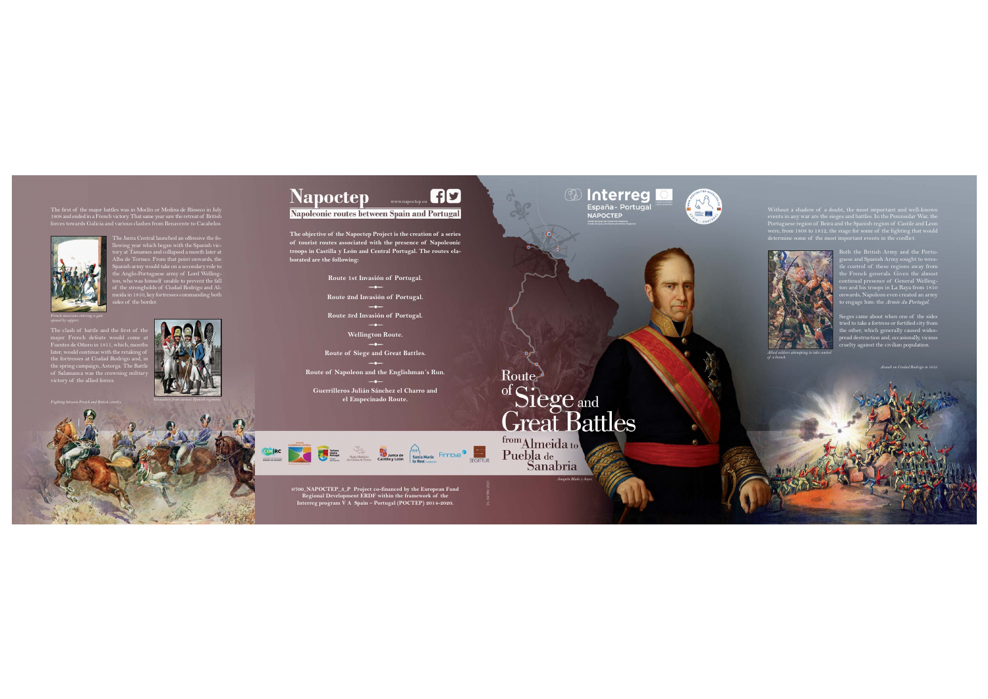**The objective of the Napoctep Project is the creation of a series of tourist routes associated with the presence of Napoleonic troops in Castilla y León and Central Portugal. The routes elaborated are the following:**

> **Route 1st Invasión of Portugal. Route 2nd Invasión of Portugal. Route 3rd Invasión of Portugal. Wellington Route.**

**Route of Siege and Great Battles.**

The Junta Central launched an offensive the following year which began with the Spanish victory at Tamames and collapsed a month later at Alba de Tormes. From that point onwards, the  $\alpha$ anish army would take on a secondary role to the Anglo-Portuguese army of Lord Wellingon, who was himself unable to prevent the fall of the strongholds of Ciudad Rodrigo and Almeida in 1810, key fortresses commanding both ides of the border.

**Route of Napoleon and the Englishman´s Run.**

**Guerrilleros Julián Sánchez el Charro and el Empecinado Route.** 













The first of the major battles was in Moclín or Medina de Ríoseco in July 1808 and ended in a French victory. That same year saw the retreat of British forces towards Galicia and various clashes from Benavente to Cacabelos.



The clash of battle and the first of the major French defeats would come a Fuentes de Oñoro in 1811, which, months later, would continue with the retaking of the fortresses at Ciudad Rodrigo and, in the spring campaign, Astorga. The Battle of Salamanca was the crowning military victory of the allied forces.

Without a shadow of a doubt, the most important and well-known events in any war are the sieges and battles. In the Peninsular War, the Portuguese region of Beira and the Spanish region of Castile and Leon were, from 1808 to 1812, the stage for some of the fighting that would determine some of the most important events in the conflict.

> Both the British Army and the Portuguese and Spanish Army sought to wrestle control of these regions away from the French generals. Given the almost continual presence of General Wellington and his troops in La Raya from 1810 onwards, Napoleon even created an army to engage him: the *Armée du Portugal*.

> Sieges came about when one of the sides tried to take a fortress or fortified city from the other, which generally caused widespread destruction and, occasionally, vicious cruelty against the civilian population.

www.napoctep.eu

HD

**0700\_NAPOCTEP\_3\_P Project co-financed by the European Fund Regional Development ERDF within the framework of the Interreg program V A Spain – Portugal (POCTEP) 2014-2020.**





*French musicians entering a gate opened by sappers.*



*Allied soldiers attempting to take control of a breach.*

*Joaquín Blake y Joyes.*

*Assault on Ciudad Rodrigo in 1812.*

## of Siege and **Great Battles**

Sanabria



## **Napoctep**

Napoleonic routes between Spain and Portugal

DL VA 986-2021

from Almeida to Puebla de

Route-

*Fighting between French and British cavalry.*